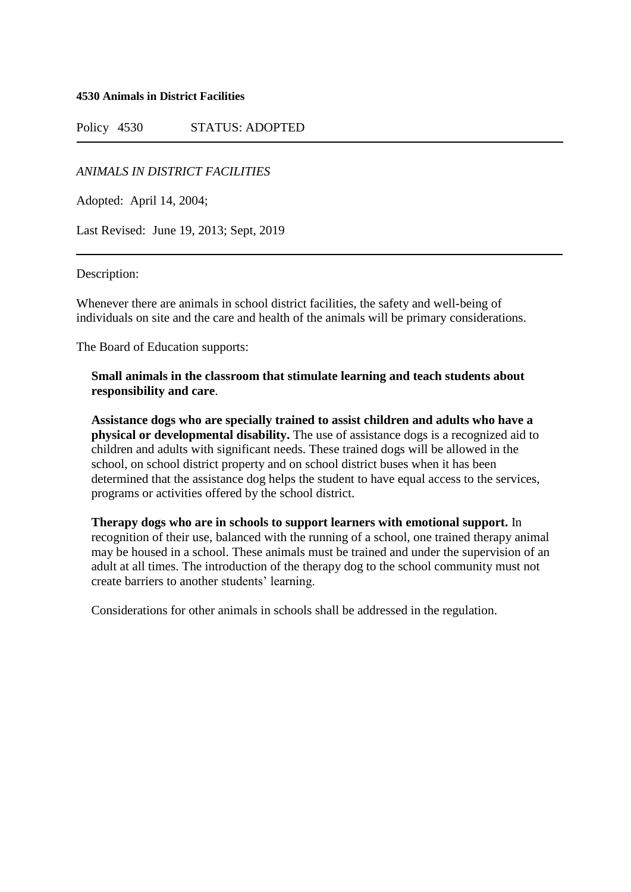**4530 Animals in District Facilities**

Policy 4530 STATUS: ADOPTED

*ANIMALS IN DISTRICT FACILITIES*

Adopted: April 14, 2004;

Last Revised: June 19, 2013; Sept, 2019

Description:

Whenever there are animals in school district facilities, the safety and well-being of individuals on site and the care and health of the animals will be primary considerations.

The Board of Education supports:

### **Small animals in the classroom that stimulate learning and teach students about responsibility and care**.

**Assistance dogs who are specially trained to assist children and adults who have a physical or developmental disability.** The use of assistance dogs is a recognized aid to children and adults with significant needs. These trained dogs will be allowed in the school, on school district property and on school district buses when it has been determined that the assistance dog helps the student to have equal access to the services, programs or activities offered by the school district.

**Therapy dogs who are in schools to support learners with emotional support.** In recognition of their use, balanced with the running of a school, one trained therapy animal may be housed in a school. These animals must be trained and under the supervision of an adult at all times. The introduction of the therapy dog to the school community must not create barriers to another students' learning.

Considerations for other animals in schools shall be addressed in the regulation.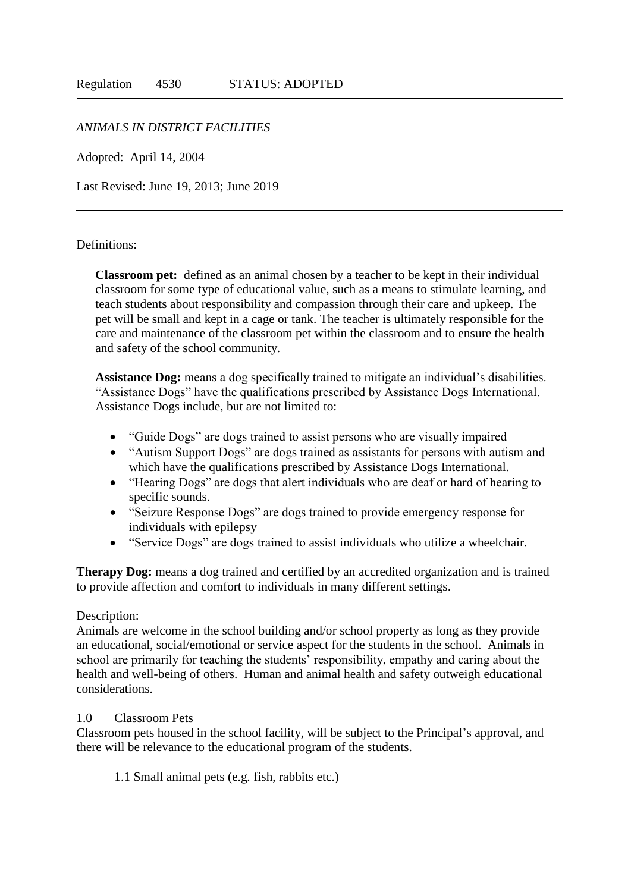### *ANIMALS IN DISTRICT FACILITIES*

Adopted: April 14, 2004

Last Revised: June 19, 2013; June 2019

#### Definitions:

**Classroom pet:** defined as an animal chosen by a teacher to be kept in their individual classroom for some type of educational value, such as a means to stimulate learning, and teach students about responsibility and compassion through their care and upkeep. The pet will be small and kept in a cage or tank. The teacher is ultimately responsible for the care and maintenance of the classroom pet within the classroom and to ensure the health and safety of the school community.

**Assistance Dog:** means a dog specifically trained to mitigate an individual's disabilities. "Assistance Dogs" have the qualifications prescribed by Assistance Dogs International. Assistance Dogs include, but are not limited to:

- "Guide Dogs" are dogs trained to assist persons who are visually impaired
- "Autism Support Dogs" are dogs trained as assistants for persons with autism and which have the qualifications prescribed by Assistance Dogs International.
- "Hearing Dogs" are dogs that alert individuals who are deaf or hard of hearing to specific sounds.
- "Seizure Response Dogs" are dogs trained to provide emergency response for individuals with epilepsy
- "Service Dogs" are dogs trained to assist individuals who utilize a wheelchair.

**Therapy Dog:** means a dog trained and certified by an accredited organization and is trained to provide affection and comfort to individuals in many different settings.

#### Description:

Animals are welcome in the school building and/or school property as long as they provide an educational, social/emotional or service aspect for the students in the school. Animals in school are primarily for teaching the students' responsibility, empathy and caring about the health and well-being of others. Human and animal health and safety outweigh educational considerations.

#### 1.0 Classroom Pets

Classroom pets housed in the school facility, will be subject to the Principal's approval, and there will be relevance to the educational program of the students.

1.1 Small animal pets (e.g. fish, rabbits etc.)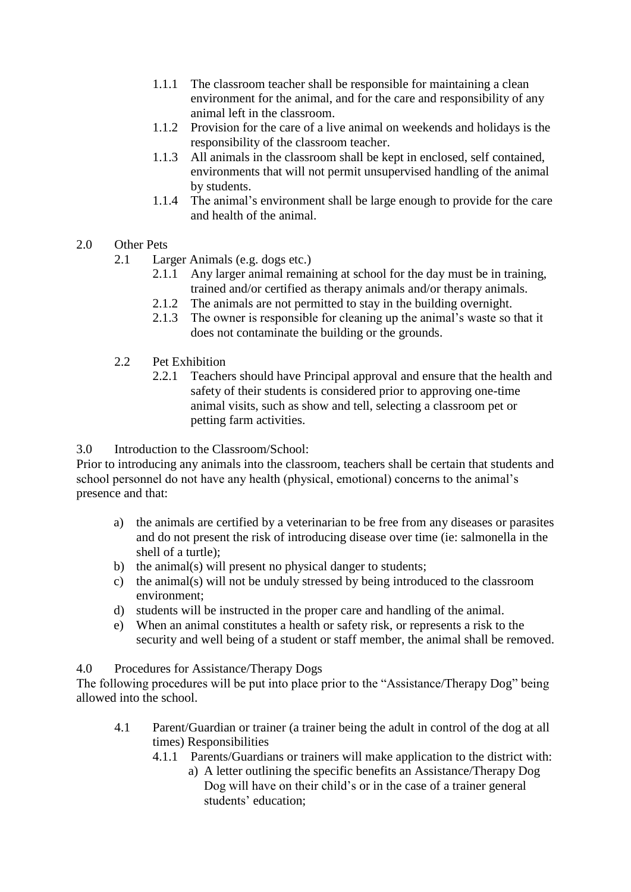- 1.1.1 The classroom teacher shall be responsible for maintaining a clean environment for the animal, and for the care and responsibility of any animal left in the classroom.
- 1.1.2 Provision for the care of a live animal on weekends and holidays is the responsibility of the classroom teacher.
- 1.1.3 All animals in the classroom shall be kept in enclosed, self contained, environments that will not permit unsupervised handling of the animal by students.
- 1.1.4 The animal's environment shall be large enough to provide for the care and health of the animal.
- 2.0 Other Pets
	- 2.1 Larger Animals (e.g. dogs etc.)
		- 2.1.1 Any larger animal remaining at school for the day must be in training, trained and/or certified as therapy animals and/or therapy animals.
		- 2.1.2 The animals are not permitted to stay in the building overnight.
		- 2.1.3 The owner is responsible for cleaning up the animal's waste so that it does not contaminate the building or the grounds.
	- 2.2 Pet Exhibition
		- 2.2.1 Teachers should have Principal approval and ensure that the health and safety of their students is considered prior to approving one-time animal visits, such as show and tell, selecting a classroom pet or petting farm activities.

# 3.0 Introduction to the Classroom/School:

Prior to introducing any animals into the classroom, teachers shall be certain that students and school personnel do not have any health (physical, emotional) concerns to the animal's presence and that:

- a) the animals are certified by a veterinarian to be free from any diseases or parasites and do not present the risk of introducing disease over time (ie: salmonella in the shell of a turtle);
- b) the animal(s) will present no physical danger to students;
- c) the animal(s) will not be unduly stressed by being introduced to the classroom environment;
- d) students will be instructed in the proper care and handling of the animal.
- e) When an animal constitutes a health or safety risk, or represents a risk to the security and well being of a student or staff member, the animal shall be removed.

# 4.0 Procedures for Assistance/Therapy Dogs

The following procedures will be put into place prior to the "Assistance/Therapy Dog" being allowed into the school.

- 4.1 Parent/Guardian or trainer (a trainer being the adult in control of the dog at all times) Responsibilities
	- 4.1.1 Parents/Guardians or trainers will make application to the district with:
		- a) A letter outlining the specific benefits an Assistance/Therapy Dog Dog will have on their child's or in the case of a trainer general students' education;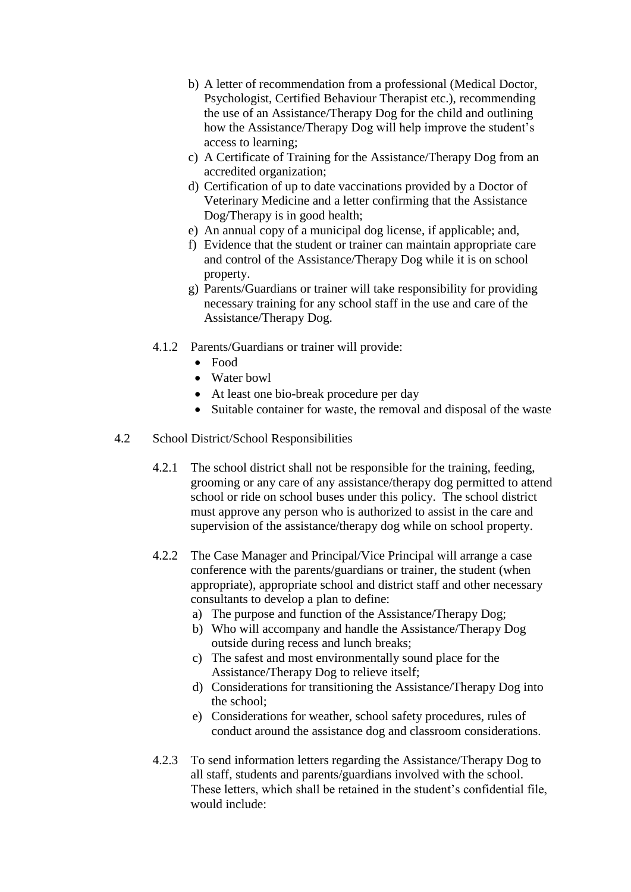- b) A letter of recommendation from a professional (Medical Doctor, Psychologist, Certified Behaviour Therapist etc.), recommending the use of an Assistance/Therapy Dog for the child and outlining how the Assistance/Therapy Dog will help improve the student's access to learning;
- c) A Certificate of Training for the Assistance/Therapy Dog from an accredited organization;
- d) Certification of up to date vaccinations provided by a Doctor of Veterinary Medicine and a letter confirming that the Assistance Dog/Therapy is in good health;
- e) An annual copy of a municipal dog license, if applicable; and,
- f) Evidence that the student or trainer can maintain appropriate care and control of the Assistance/Therapy Dog while it is on school property.
- g) Parents/Guardians or trainer will take responsibility for providing necessary training for any school staff in the use and care of the Assistance/Therapy Dog.
- 4.1.2 Parents/Guardians or trainer will provide:
	- Food
	- Water bowl
	- At least one bio-break procedure per day
	- Suitable container for waste, the removal and disposal of the waste
- 4.2 School District/School Responsibilities
	- 4.2.1 The school district shall not be responsible for the training, feeding, grooming or any care of any assistance/therapy dog permitted to attend school or ride on school buses under this policy. The school district must approve any person who is authorized to assist in the care and supervision of the assistance/therapy dog while on school property.
	- 4.2.2 The Case Manager and Principal/Vice Principal will arrange a case conference with the parents/guardians or trainer, the student (when appropriate), appropriate school and district staff and other necessary consultants to develop a plan to define:
		- a) The purpose and function of the Assistance/Therapy Dog;
		- b) Who will accompany and handle the Assistance/Therapy Dog outside during recess and lunch breaks;
		- c) The safest and most environmentally sound place for the Assistance/Therapy Dog to relieve itself;
		- d) Considerations for transitioning the Assistance/Therapy Dog into the school;
		- e) Considerations for weather, school safety procedures, rules of conduct around the assistance dog and classroom considerations.
	- 4.2.3 To send information letters regarding the Assistance/Therapy Dog to all staff, students and parents/guardians involved with the school. These letters, which shall be retained in the student's confidential file, would include: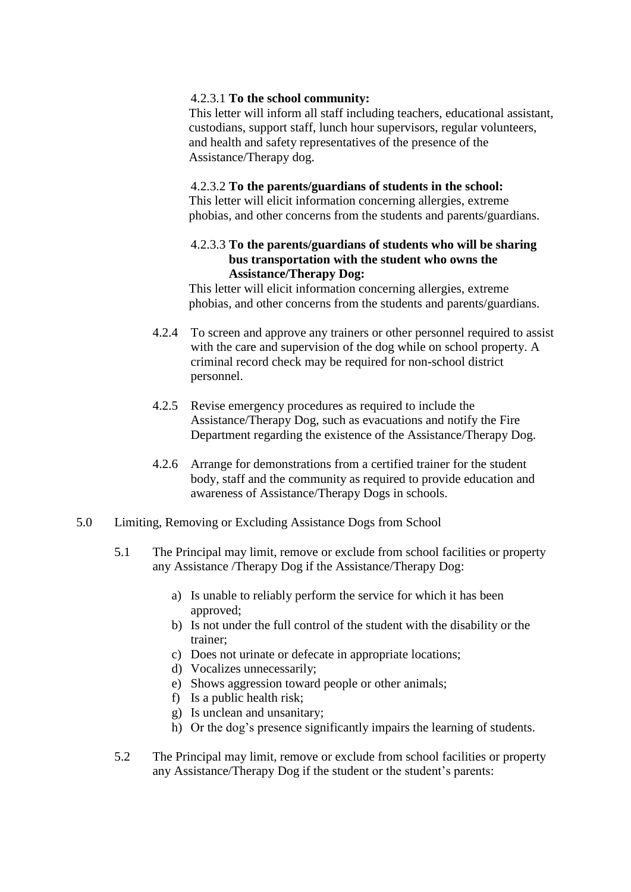### 4.2.3.1 **To the school community:**

This letter will inform all staff including teachers, educational assistant, custodians, support staff, lunch hour supervisors, regular volunteers, and health and safety representatives of the presence of the Assistance/Therapy dog.

### 4.2.3.2 **To the parents/guardians of students in the school:**

This letter will elicit information concerning allergies, extreme phobias, and other concerns from the students and parents/guardians.

## 4.2.3.3 **To the parents/guardians of students who will be sharing bus transportation with the student who owns the Assistance/Therapy Dog:**

This letter will elicit information concerning allergies, extreme phobias, and other concerns from the students and parents/guardians.

- 4.2.4 To screen and approve any trainers or other personnel required to assist with the care and supervision of the dog while on school property. A criminal record check may be required for non-school district personnel.
- 4.2.5 Revise emergency procedures as required to include the Assistance/Therapy Dog, such as evacuations and notify the Fire Department regarding the existence of the Assistance/Therapy Dog.
- 4.2.6 Arrange for demonstrations from a certified trainer for the student body, staff and the community as required to provide education and awareness of Assistance/Therapy Dogs in schools.
- 5.0 Limiting, Removing or Excluding Assistance Dogs from School
	- 5.1 The Principal may limit, remove or exclude from school facilities or property any Assistance /Therapy Dog if the Assistance/Therapy Dog:
		- a) Is unable to reliably perform the service for which it has been approved;
		- b) Is not under the full control of the student with the disability or the trainer;
		- c) Does not urinate or defecate in appropriate locations;
		- d) Vocalizes unnecessarily;
		- e) Shows aggression toward people or other animals;
		- f) Is a public health risk;
		- g) Is unclean and unsanitary;
		- h) Or the dog's presence significantly impairs the learning of students.
	- 5.2 The Principal may limit, remove or exclude from school facilities or property any Assistance/Therapy Dog if the student or the student's parents: